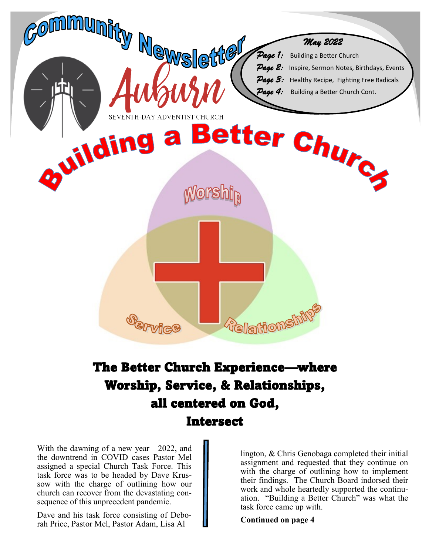

# The Better Church Experience—where Worship, Service, & Relationships, all centered on God, Intersect

With the dawning of a new year—2022, and the downtrend in COVID cases Pastor Mel assigned a special Church Task Force. This task force was to be headed by Dave Krussow with the charge of outlining how our church can recover from the devastating consequence of this unprecedent pandemic.

Dave and his task force consisting of Deborah Price, Pastor Mel, Pastor Adam, Lisa Al

lington, & Chris Genobaga completed their initial assignment and requested that they continue on with the charge of outlining how to implement their findings. The Church Board indorsed their work and whole heartedly supported the continuation. "Building a Better Church" was what the task force came up with.

**Continued on page 4**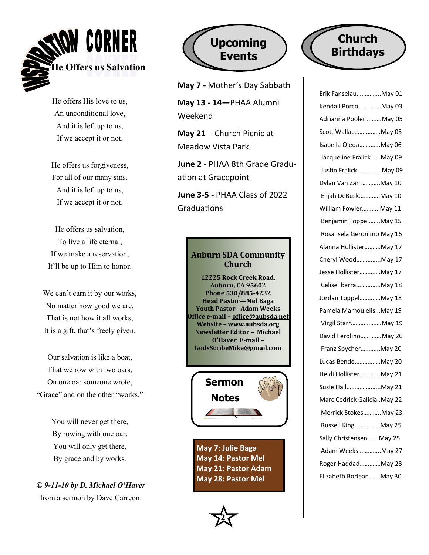

He offers His love to us, An unconditional love, And it is left up to us, If we accept it or not.

He offers us forgiveness, For all of our many sins, And it is left up to us, If we accept it or not.

He offers us salvation, To live a life eternal, If we make a reservation, It'll be up to Him to honor.

We can't earn it by our works, No matter how good we are. That is not how it all works, It is a gift, that's freely given.

Our salvation is like a boat, That we row with two oars, On one oar someone wrote, "Grace" and on the other "works."

> You will never get there, By rowing with one oar. You will only get there, By grace and by works.

*© 9-11-10 by D. Michael O'Haver* from a sermon by Dave Carreon



**May 7 -** Mother's Day Sabbath

**May 13 - 14—**PHAA Alumni Weekend

**May 21** - Church Picnic at Meadow Vista Park

**June 2** - PHAA 8th Grade Graduation at Gracepoint

**June 3-5 -** PHAA Class of 2022 Graduations

### **Auburn SDA Community Church**

**12225 Rock Creek Road, Auburn, CA 95602 Phone 530/885-4232 Head Pastor—Mel Baga Youth Pastor- Adam Weeks Office e-mail – [office@aubsda.net](mailto:office@aubsda.net)  Website – [www.aubsda.org](http://www.aubsda.org)  Newsletter Editor – Michael O'Haver E-mail – GodsScribeMike@gmail.com**



**May 7: Julie Baga May 14: Pastor Mel May 21: Pastor Adam May 28: Pastor Mel** 



# **Church Birthdays**

| Erik FanselauMay 01        |
|----------------------------|
| Kendall PorcoMay 03        |
| Adrianna PoolerMay 05      |
| Scott WallaceMay 05        |
| Isabella OjedaMay 06       |
| Jacqueline FralickMay 09   |
| Justin FralickMay 09       |
| Dylan Van ZantMay 10       |
| Elijah DeBuskMay 10        |
| William FowlerMay 11       |
| Benjamin ToppelMay 15      |
| Rosa Isela Geronimo May 16 |
| Alanna HollisterMay 17     |
| Cheryl WoodMay 17          |
| Jesse HollisterMay 17      |
| Celise IbarraMay 18        |
| Jordan ToppelMay 18        |
| Pamela MamoulelisMay 19    |
| Virgil StarrMay 19         |
| David FerolinoMay 20       |
| Franz SpycherMay 20        |
| Lucas BendeMay 20          |
| Heidi HollisterMay 21      |
| Susie HallMay 21           |
| Marc Cedrick GaliciaMay 22 |
| Merrick StokesMay 23       |
| Russell KingMay 25         |
| Sally ChristensenMay 25    |
| Adam WeeksMay 27           |
| Roger HaddadMay 28         |
| Elizabeth BorleanMay 30    |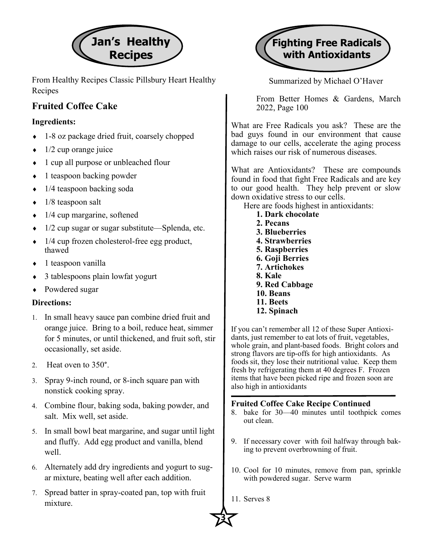

From Healthy Recipes Classic Pillsbury Heart Healthy Recipes

## **Fruited Coffee Cake**

### **Ingredients:**

- 1-8 oz package dried fruit, coarsely chopped
- $\bullet$  1/2 cup orange juice
- 1 cup all purpose or unbleached flour
- $\bullet$  1 teaspoon backing powder
- $\bullet$  1/4 teaspoon backing soda
- $\bullet$  1/8 teaspoon salt
- 1/4 cup margarine, softened
- $\bullet$  1/2 cup sugar or sugar substitute—Splenda, etc.
- $\cdot$  1/4 cup frozen cholesterol-free egg product, thawed
- 1 teaspoon vanilla
- 3 tablespoons plain lowfat yogurt
- Powdered sugar

### **Directions:**

- In small heavy sauce pan combine dried fruit and orange juice. Bring to a boil, reduce heat, simmer for 5 minutes, or until thickened, and fruit soft, stir occasionally, set aside.
- 2. Heat oven to 350°.
- Spray 9-inch round, or 8-inch square pan with nonstick cooking spray.
- Combine flour, baking soda, baking powder, and salt. Mix well, set aside.
- In small bowl beat margarine, and sugar until light and fluffy. Add egg product and vanilla, blend well.
- Alternately add dry ingredients and yogurt to sugar mixture, beating well after each addition.
- Spread batter in spray-coated pan, top with fruit mixture.



Summarized by Michael O'Haver

From Better Homes & Gardens, March 2022, Page 100

What are Free Radicals you ask? These are the bad guys found in our environment that cause damage to our cells, accelerate the aging process which raises our risk of numerous diseases.

What are Antioxidants? These are compounds found in food that fight Free Radicals and are key to our good health. They help prevent or slow down oxidative stress to our cells.

- Here are foods highest in antioxidants:
	- **1. Dark chocolate**
	- **2. Pecans**
	- **3. Blueberries**
	- **4. Strawberries**
	- **5. Raspberries**
	- **6. Goji Berries**
	- **7. Artichokes**
	- **8. Kale**
	- **9. Red Cabbage 10. Beans**
	- **11. Beets**
	- **12. Spinach**

If you can't remember all 12 of these Super Antioxidants, just remember to eat lots of fruit, vegetables, whole grain, and plant-based foods. Bright colors and strong flavors are tip-offs for high antioxidants. As foods sit, they lose their nutritional value. Keep them fresh by refrigerating them at 40 degrees F. Frozen items that have been picked ripe and frozen soon are also high in antioxidants

### **Fruited Coffee Cake Recipe Continued**

- 8. bake for 30—40 minutes until toothpick comes out clean.
- 9. If necessary cover with foil halfway through baking to prevent overbrowning of fruit.
- 10. Cool for 10 minutes, remove from pan, sprinkle with powdered sugar. Serve warm
- 11. Serves 8

 $\frac{1}{2}$